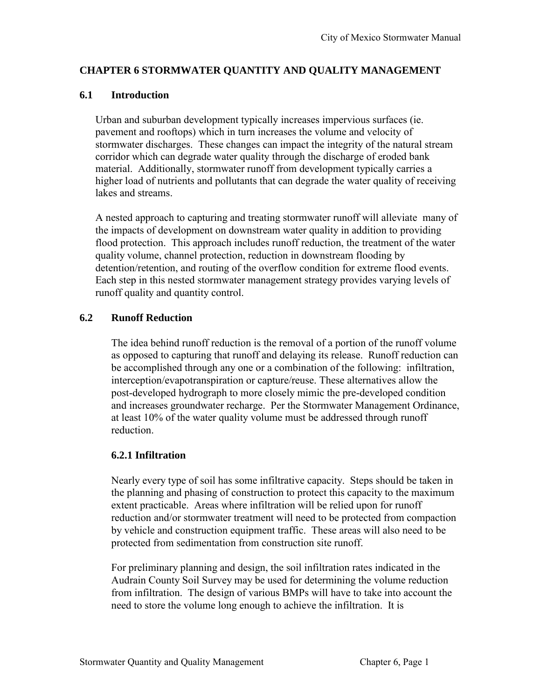## **CHAPTER 6 STORMWATER QUANTITY AND QUALITY MANAGEMENT**

## **6.1 Introduction**

Urban and suburban development typically increases impervious surfaces (ie. pavement and rooftops) which in turn increases the volume and velocity of stormwater discharges. These changes can impact the integrity of the natural stream corridor which can degrade water quality through the discharge of eroded bank material. Additionally, stormwater runoff from development typically carries a higher load of nutrients and pollutants that can degrade the water quality of receiving lakes and streams.

A nested approach to capturing and treating stormwater runoff will alleviate many of the impacts of development on downstream water quality in addition to providing flood protection. This approach includes runoff reduction, the treatment of the water quality volume, channel protection, reduction in downstream flooding by detention/retention, and routing of the overflow condition for extreme flood events. Each step in this nested stormwater management strategy provides varying levels of runoff quality and quantity control.

# **6.2 Runoff Reduction**

The idea behind runoff reduction is the removal of a portion of the runoff volume as opposed to capturing that runoff and delaying its release. Runoff reduction can be accomplished through any one or a combination of the following: infiltration, interception/evapotranspiration or capture/reuse. These alternatives allow the post-developed hydrograph to more closely mimic the pre-developed condition and increases groundwater recharge. Per the Stormwater Management Ordinance, at least 10% of the water quality volume must be addressed through runoff reduction.

## **6.2.1 Infiltration**

Nearly every type of soil has some infiltrative capacity. Steps should be taken in the planning and phasing of construction to protect this capacity to the maximum extent practicable. Areas where infiltration will be relied upon for runoff reduction and/or stormwater treatment will need to be protected from compaction by vehicle and construction equipment traffic. These areas will also need to be protected from sedimentation from construction site runoff.

For preliminary planning and design, the soil infiltration rates indicated in the Audrain County Soil Survey may be used for determining the volume reduction from infiltration. The design of various BMPs will have to take into account the need to store the volume long enough to achieve the infiltration. It is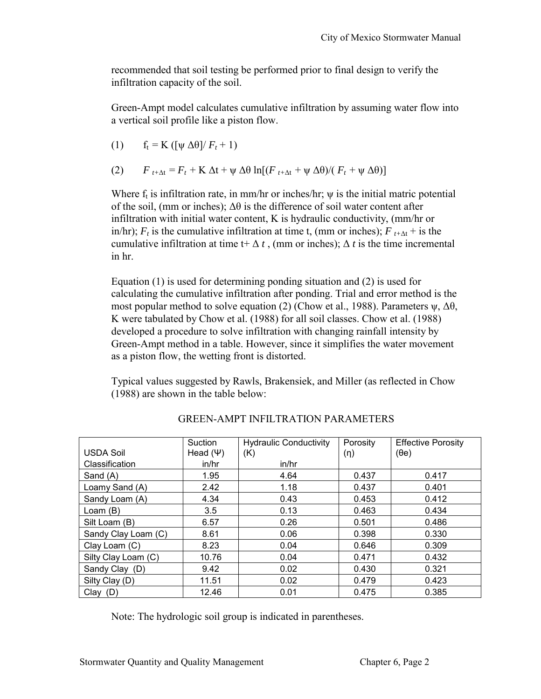recommended that soil testing be performed prior to final design to verify the infiltration capacity of the soil.

Green-Ampt model calculates cumulative infiltration by assuming water flow into a vertical soil profile like a piston flow.

(1) 
$$
f_t = K ([\psi \Delta \theta]/F_t + 1)
$$

(2) 
$$
F_{t+\Delta t} = F_t + K \Delta t + \psi \Delta \theta \ln[(F_{t+\Delta t} + \psi \Delta \theta)/(F_t + \psi \Delta \theta)]
$$

Where  $f_t$  is infiltration rate, in mm/hr or inches/hr;  $\psi$  is the initial matric potential of the soil, (mm or inches);  $\Delta\theta$  is the difference of soil water content after infiltration with initial water content, K is hydraulic conductivity, (mm/hr or in/hr);  $F_t$  is the cumulative infiltration at time t, (mm or inches);  $F_{t+{\Delta t}} +$  is the cumulative infiltration at time t+  $\Delta t$ , (mm or inches);  $\Delta t$  is the time incremental in hr.

Equation (1) is used for determining ponding situation and (2) is used for calculating the cumulative infiltration after ponding. Trial and error method is the most popular method to solve equation (2) (Chow et al., 1988). Parameters  $\psi$ ,  $\Delta\theta$ , K were tabulated by Chow et al. (1988) for all soil classes. Chow et al. (1988) developed a procedure to solve infiltration with changing rainfall intensity by Green-Ampt method in a table. However, since it simplifies the water movement as a piston flow, the wetting front is distorted.

Typical values suggested by Rawls, Brakensiek, and Miller (as reflected in Chow (1988) are shown in the table below:

|                     | Suction       | <b>Hydraulic Conductivity</b> | Porosity | <b>Effective Porosity</b> |
|---------------------|---------------|-------------------------------|----------|---------------------------|
| <b>USDA Soil</b>    | Head $(\Psi)$ | (K)                           | (n)      | $(\theta e)$              |
| Classification      | in/hr         | in/hr                         |          |                           |
| Sand (A)            | 1.95          | 4.64                          | 0.437    | 0.417                     |
| Loamy Sand (A)      | 2.42          | 1.18                          | 0.437    | 0.401                     |
| Sandy Loam (A)      | 4.34          | 0.43                          | 0.453    | 0.412                     |
| Loam (B)            | 3.5           | 0.13                          | 0.463    | 0.434                     |
| Silt Loam (B)       | 6.57          | 0.26                          | 0.501    | 0.486                     |
| Sandy Clay Loam (C) | 8.61          | 0.06                          | 0.398    | 0.330                     |
| Clay Loam (C)       | 8.23          | 0.04                          | 0.646    | 0.309                     |
| Silty Clay Loam (C) | 10.76         | 0.04                          | 0.471    | 0.432                     |
| Sandy Clay (D)      | 9.42          | 0.02                          | 0.430    | 0.321                     |
| Silty Clay (D)      | 11.51         | 0.02                          | 0.479    | 0.423                     |
| $Clay$ (D)          | 12.46         | 0.01                          | 0.475    | 0.385                     |

GREEN-AMPT INFILTRATION PARAMETERS

Note: The hydrologic soil group is indicated in parentheses.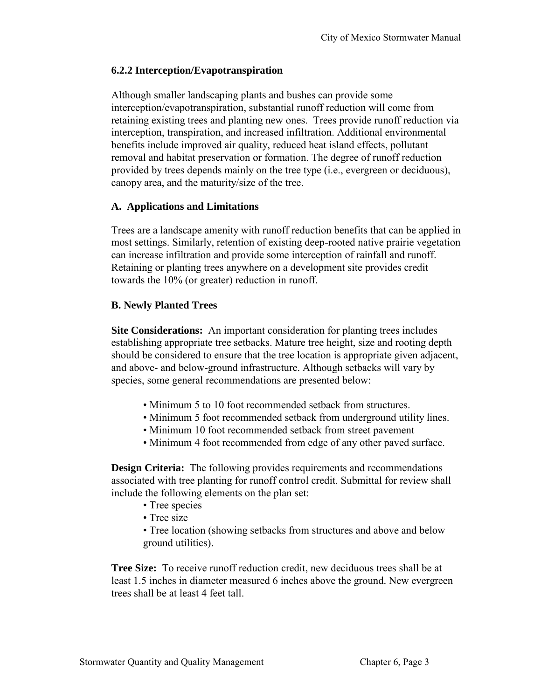## **6.2.2 Interception/Evapotranspiration**

Although smaller landscaping plants and bushes can provide some interception/evapotranspiration, substantial runoff reduction will come from retaining existing trees and planting new ones. Trees provide runoff reduction via interception, transpiration, and increased infiltration. Additional environmental benefits include improved air quality, reduced heat island effects, pollutant removal and habitat preservation or formation. The degree of runoff reduction provided by trees depends mainly on the tree type (i.e., evergreen or deciduous), canopy area, and the maturity/size of the tree.

## **A. Applications and Limitations**

Trees are a landscape amenity with runoff reduction benefits that can be applied in most settings. Similarly, retention of existing deep-rooted native prairie vegetation can increase infiltration and provide some interception of rainfall and runoff. Retaining or planting trees anywhere on a development site provides credit towards the 10% (or greater) reduction in runoff.

## **B. Newly Planted Trees**

**Site Considerations:** An important consideration for planting trees includes establishing appropriate tree setbacks. Mature tree height, size and rooting depth should be considered to ensure that the tree location is appropriate given adjacent, and above- and below-ground infrastructure. Although setbacks will vary by species, some general recommendations are presented below:

- Minimum 5 to 10 foot recommended setback from structures.
- Minimum 5 foot recommended setback from underground utility lines.
- Minimum 10 foot recommended setback from street pavement
- Minimum 4 foot recommended from edge of any other paved surface.

**Design Criteria:** The following provides requirements and recommendations associated with tree planting for runoff control credit. Submittal for review shall include the following elements on the plan set:

- Tree species
- Tree size

• Tree location (showing setbacks from structures and above and below ground utilities).

**Tree Size:** To receive runoff reduction credit, new deciduous trees shall be at least 1.5 inches in diameter measured 6 inches above the ground. New evergreen trees shall be at least 4 feet tall.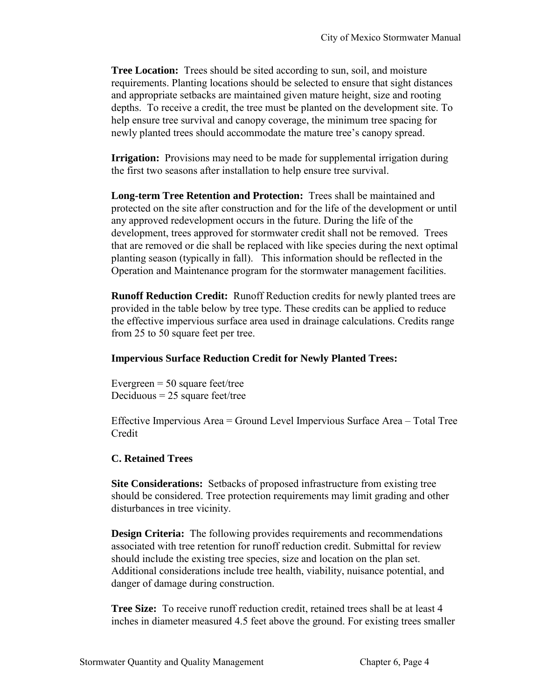**Tree Location:** Trees should be sited according to sun, soil, and moisture requirements. Planting locations should be selected to ensure that sight distances and appropriate setbacks are maintained given mature height, size and rooting depths. To receive a credit, the tree must be planted on the development site. To help ensure tree survival and canopy coverage, the minimum tree spacing for newly planted trees should accommodate the mature tree's canopy spread.

**Irrigation:** Provisions may need to be made for supplemental irrigation during the first two seasons after installation to help ensure tree survival.

**Long-term Tree Retention and Protection:** Trees shall be maintained and protected on the site after construction and for the life of the development or until any approved redevelopment occurs in the future. During the life of the development, trees approved for stormwater credit shall not be removed. Trees that are removed or die shall be replaced with like species during the next optimal planting season (typically in fall). This information should be reflected in the Operation and Maintenance program for the stormwater management facilities.

**Runoff Reduction Credit:** Runoff Reduction credits for newly planted trees are provided in the table below by tree type. These credits can be applied to reduce the effective impervious surface area used in drainage calculations. Credits range from 25 to 50 square feet per tree.

### **Impervious Surface Reduction Credit for Newly Planted Trees:**

Evergreen  $= 50$  square feet/tree Deciduous  $= 25$  square feet/tree

Effective Impervious Area = Ground Level Impervious Surface Area – Total Tree Credit

## **C. Retained Trees**

**Site Considerations:** Setbacks of proposed infrastructure from existing tree should be considered. Tree protection requirements may limit grading and other disturbances in tree vicinity.

**Design Criteria:** The following provides requirements and recommendations associated with tree retention for runoff reduction credit. Submittal for review should include the existing tree species, size and location on the plan set. Additional considerations include tree health, viability, nuisance potential, and danger of damage during construction.

**Tree Size:** To receive runoff reduction credit, retained trees shall be at least 4 inches in diameter measured 4.5 feet above the ground. For existing trees smaller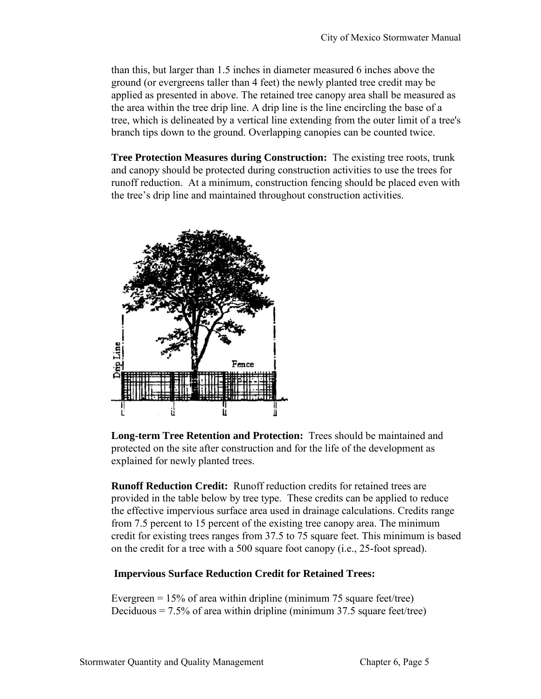than this, but larger than 1.5 inches in diameter measured 6 inches above the ground (or evergreens taller than 4 feet) the newly planted tree credit may be applied as presented in above. The retained tree canopy area shall be measured as the area within the tree drip line. A drip line is the line encircling the base of a tree, which is delineated by a vertical line extending from the outer limit of a tree's branch tips down to the ground. Overlapping canopies can be counted twice.

**Tree Protection Measures during Construction:** The existing tree roots, trunk and canopy should be protected during construction activities to use the trees for runoff reduction. At a minimum, construction fencing should be placed even with the tree's drip line and maintained throughout construction activities.



**Long-term Tree Retention and Protection:** Trees should be maintained and protected on the site after construction and for the life of the development as explained for newly planted trees.

**Runoff Reduction Credit:** Runoff reduction credits for retained trees are provided in the table below by tree type. These credits can be applied to reduce the effective impervious surface area used in drainage calculations. Credits range from 7.5 percent to 15 percent of the existing tree canopy area. The minimum credit for existing trees ranges from 37.5 to 75 square feet. This minimum is based on the credit for a tree with a 500 square foot canopy (i.e., 25-foot spread).

## **Impervious Surface Reduction Credit for Retained Trees:**

Evergreen  $= 15\%$  of area within dripline (minimum 75 square feet/tree) Deciduous  $= 7.5\%$  of area within dripline (minimum 37.5 square feet/tree)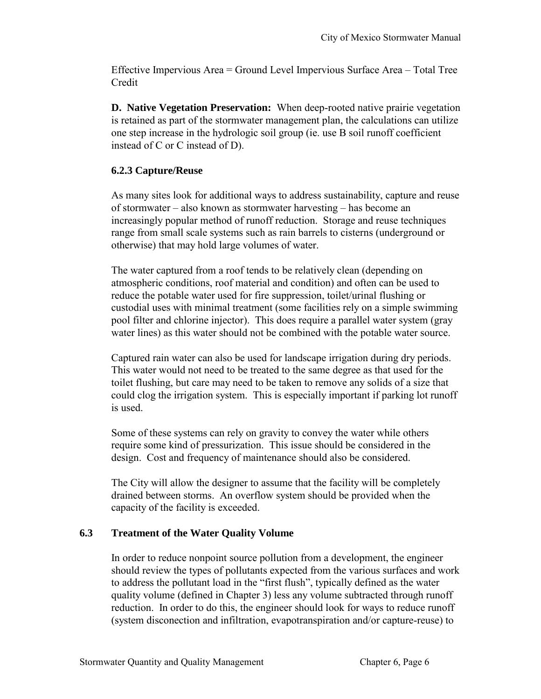Effective Impervious Area = Ground Level Impervious Surface Area – Total Tree Credit

**D. Native Vegetation Preservation:** When deep-rooted native prairie vegetation is retained as part of the stormwater management plan, the calculations can utilize one step increase in the hydrologic soil group (ie. use B soil runoff coefficient instead of C or C instead of D).

# **6.2.3 Capture/Reuse**

As many sites look for additional ways to address sustainability, capture and reuse of stormwater – also known as stormwater harvesting – has become an increasingly popular method of runoff reduction. Storage and reuse techniques range from small scale systems such as rain barrels to cisterns (underground or otherwise) that may hold large volumes of water.

The water captured from a roof tends to be relatively clean (depending on atmospheric conditions, roof material and condition) and often can be used to reduce the potable water used for fire suppression, toilet/urinal flushing or custodial uses with minimal treatment (some facilities rely on a simple swimming pool filter and chlorine injector). This does require a parallel water system (gray water lines) as this water should not be combined with the potable water source.

Captured rain water can also be used for landscape irrigation during dry periods. This water would not need to be treated to the same degree as that used for the toilet flushing, but care may need to be taken to remove any solids of a size that could clog the irrigation system. This is especially important if parking lot runoff is used.

Some of these systems can rely on gravity to convey the water while others require some kind of pressurization. This issue should be considered in the design. Cost and frequency of maintenance should also be considered.

The City will allow the designer to assume that the facility will be completely drained between storms. An overflow system should be provided when the capacity of the facility is exceeded.

# **6.3 Treatment of the Water Quality Volume**

In order to reduce nonpoint source pollution from a development, the engineer should review the types of pollutants expected from the various surfaces and work to address the pollutant load in the "first flush", typically defined as the water quality volume (defined in Chapter 3) less any volume subtracted through runoff reduction. In order to do this, the engineer should look for ways to reduce runoff (system disconection and infiltration, evapotranspiration and/or capture-reuse) to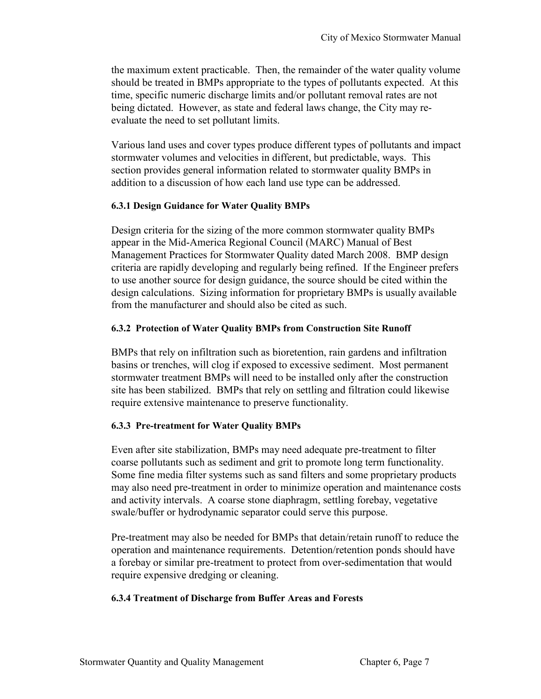the maximum extent practicable. Then, the remainder of the water quality volume should be treated in BMPs appropriate to the types of pollutants expected. At this time, specific numeric discharge limits and/or pollutant removal rates are not being dictated. However, as state and federal laws change, the City may reevaluate the need to set pollutant limits.

Various land uses and cover types produce different types of pollutants and impact stormwater volumes and velocities in different, but predictable, ways. This section provides general information related to stormwater quality BMPs in addition to a discussion of how each land use type can be addressed.

### **6.3.1 Design Guidance for Water Quality BMPs**

Design criteria for the sizing of the more common stormwater quality BMPs appear in the Mid-America Regional Council (MARC) Manual of Best Management Practices for Stormwater Quality dated March 2008. BMP design criteria are rapidly developing and regularly being refined. If the Engineer prefers to use another source for design guidance, the source should be cited within the design calculations. Sizing information for proprietary BMPs is usually available from the manufacturer and should also be cited as such.

## **6.3.2 Protection of Water Quality BMPs from Construction Site Runoff**

BMPs that rely on infiltration such as bioretention, rain gardens and infiltration basins or trenches, will clog if exposed to excessive sediment. Most permanent stormwater treatment BMPs will need to be installed only after the construction site has been stabilized. BMPs that rely on settling and filtration could likewise require extensive maintenance to preserve functionality.

## **6.3.3 Pre-treatment for Water Quality BMPs**

Even after site stabilization, BMPs may need adequate pre-treatment to filter coarse pollutants such as sediment and grit to promote long term functionality. Some fine media filter systems such as sand filters and some proprietary products may also need pre-treatment in order to minimize operation and maintenance costs and activity intervals. A coarse stone diaphragm, settling forebay, vegetative swale/buffer or hydrodynamic separator could serve this purpose.

Pre-treatment may also be needed for BMPs that detain/retain runoff to reduce the operation and maintenance requirements. Detention/retention ponds should have a forebay or similar pre-treatment to protect from over-sedimentation that would require expensive dredging or cleaning.

### **6.3.4 Treatment of Discharge from Buffer Areas and Forests**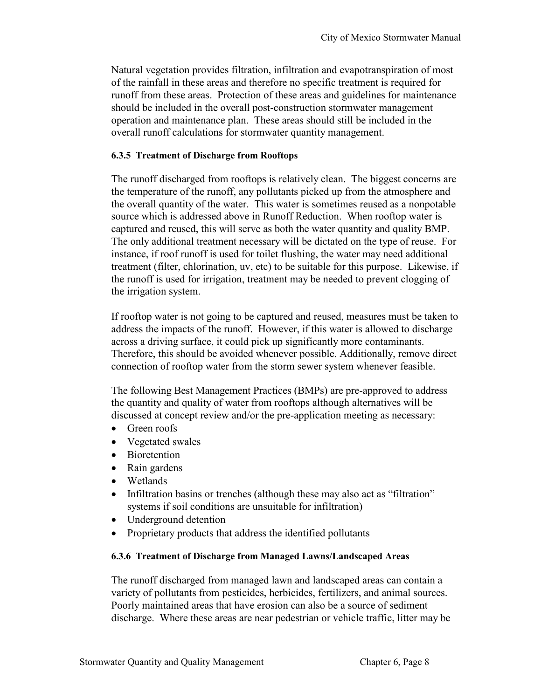Natural vegetation provides filtration, infiltration and evapotranspiration of most of the rainfall in these areas and therefore no specific treatment is required for runoff from these areas. Protection of these areas and guidelines for maintenance should be included in the overall post-construction stormwater management operation and maintenance plan. These areas should still be included in the overall runoff calculations for stormwater quantity management.

### **6.3.5 Treatment of Discharge from Rooftops**

The runoff discharged from rooftops is relatively clean. The biggest concerns are the temperature of the runoff, any pollutants picked up from the atmosphere and the overall quantity of the water. This water is sometimes reused as a nonpotable source which is addressed above in Runoff Reduction. When rooftop water is captured and reused, this will serve as both the water quantity and quality BMP. The only additional treatment necessary will be dictated on the type of reuse. For instance, if roof runoff is used for toilet flushing, the water may need additional treatment (filter, chlorination, uv, etc) to be suitable for this purpose. Likewise, if the runoff is used for irrigation, treatment may be needed to prevent clogging of the irrigation system.

If rooftop water is not going to be captured and reused, measures must be taken to address the impacts of the runoff. However, if this water is allowed to discharge across a driving surface, it could pick up significantly more contaminants. Therefore, this should be avoided whenever possible. Additionally, remove direct connection of rooftop water from the storm sewer system whenever feasible.

The following Best Management Practices (BMPs) are pre-approved to address the quantity and quality of water from rooftops although alternatives will be discussed at concept review and/or the pre-application meeting as necessary:

- Green roofs
- Vegetated swales
- Bioretention
- Rain gardens
- Wetlands
- Infiltration basins or trenches (although these may also act as "filtration" systems if soil conditions are unsuitable for infiltration)
- Underground detention
- Proprietary products that address the identified pollutants

### **6.3.6 Treatment of Discharge from Managed Lawns/Landscaped Areas**

The runoff discharged from managed lawn and landscaped areas can contain a variety of pollutants from pesticides, herbicides, fertilizers, and animal sources. Poorly maintained areas that have erosion can also be a source of sediment discharge. Where these areas are near pedestrian or vehicle traffic, litter may be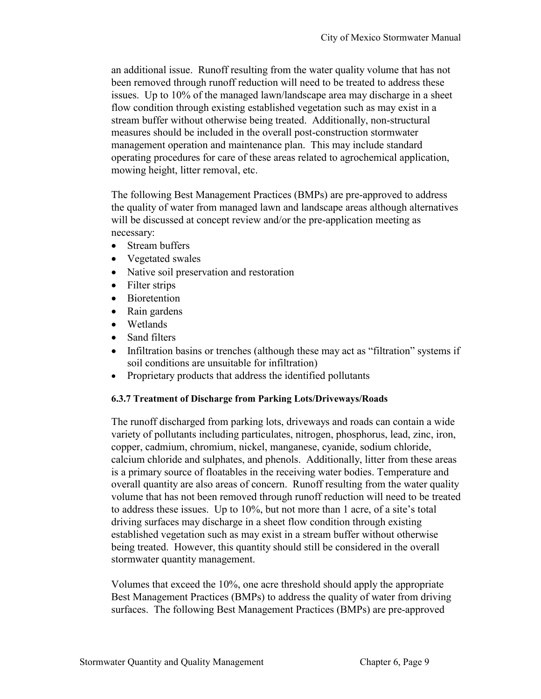an additional issue. Runoff resulting from the water quality volume that has not been removed through runoff reduction will need to be treated to address these issues. Up to 10% of the managed lawn/landscape area may discharge in a sheet flow condition through existing established vegetation such as may exist in a stream buffer without otherwise being treated. Additionally, non-structural measures should be included in the overall post-construction stormwater management operation and maintenance plan. This may include standard operating procedures for care of these areas related to agrochemical application, mowing height, litter removal, etc.

The following Best Management Practices (BMPs) are pre-approved to address the quality of water from managed lawn and landscape areas although alternatives will be discussed at concept review and/or the pre-application meeting as necessary:

- Stream buffers
- Vegetated swales
- Native soil preservation and restoration
- Filter strips
- Bioretention
- Rain gardens
- Wetlands
- Sand filters
- Infiltration basins or trenches (although these may act as "filtration" systems if soil conditions are unsuitable for infiltration)
- Proprietary products that address the identified pollutants

### **6.3.7 Treatment of Discharge from Parking Lots/Driveways/Roads**

The runoff discharged from parking lots, driveways and roads can contain a wide variety of pollutants including particulates, nitrogen, phosphorus, lead, zinc, iron, copper, cadmium, chromium, nickel, manganese, cyanide, sodium chloride, calcium chloride and sulphates, and phenols. Additionally, litter from these areas is a primary source of floatables in the receiving water bodies. Temperature and overall quantity are also areas of concern. Runoff resulting from the water quality volume that has not been removed through runoff reduction will need to be treated to address these issues. Up to 10%, but not more than 1 acre, of a site's total driving surfaces may discharge in a sheet flow condition through existing established vegetation such as may exist in a stream buffer without otherwise being treated. However, this quantity should still be considered in the overall stormwater quantity management.

Volumes that exceed the 10%, one acre threshold should apply the appropriate Best Management Practices (BMPs) to address the quality of water from driving surfaces. The following Best Management Practices (BMPs) are pre-approved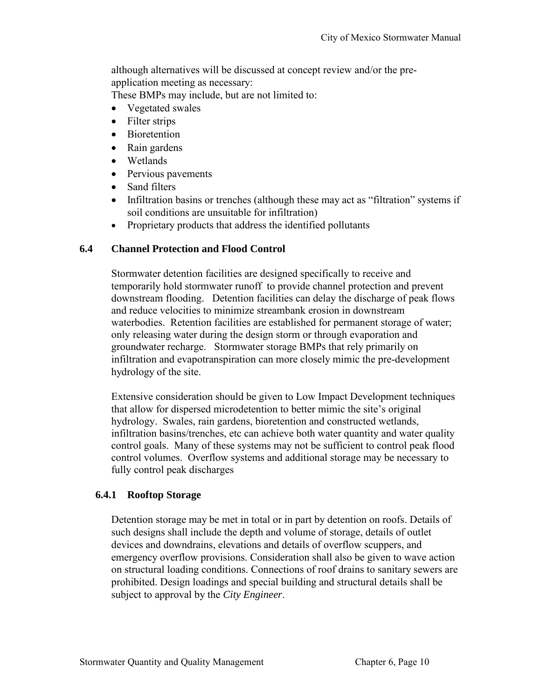although alternatives will be discussed at concept review and/or the preapplication meeting as necessary:

These BMPs may include, but are not limited to:

- Vegetated swales
- Filter strips
- Bioretention
- Rain gardens
- Wetlands
- Pervious pavements
- Sand filters
- Infiltration basins or trenches (although these may act as "filtration" systems if soil conditions are unsuitable for infiltration)
- Proprietary products that address the identified pollutants

# **6.4 Channel Protection and Flood Control**

Stormwater detention facilities are designed specifically to receive and temporarily hold stormwater runoff to provide channel protection and prevent downstream flooding. Detention facilities can delay the discharge of peak flows and reduce velocities to minimize streambank erosion in downstream waterbodies. Retention facilities are established for permanent storage of water; only releasing water during the design storm or through evaporation and groundwater recharge. Stormwater storage BMPs that rely primarily on infiltration and evapotranspiration can more closely mimic the pre-development hydrology of the site.

Extensive consideration should be given to Low Impact Development techniques that allow for dispersed microdetention to better mimic the site's original hydrology. Swales, rain gardens, bioretention and constructed wetlands, infiltration basins/trenches, etc can achieve both water quantity and water quality control goals. Many of these systems may not be sufficient to control peak flood control volumes. Overflow systems and additional storage may be necessary to fully control peak discharges

# **6.4.1 Rooftop Storage**

Detention storage may be met in total or in part by detention on roofs. Details of such designs shall include the depth and volume of storage, details of outlet devices and downdrains, elevations and details of overflow scuppers, and emergency overflow provisions. Consideration shall also be given to wave action on structural loading conditions. Connections of roof drains to sanitary sewers are prohibited. Design loadings and special building and structural details shall be subject to approval by the *City Engineer*.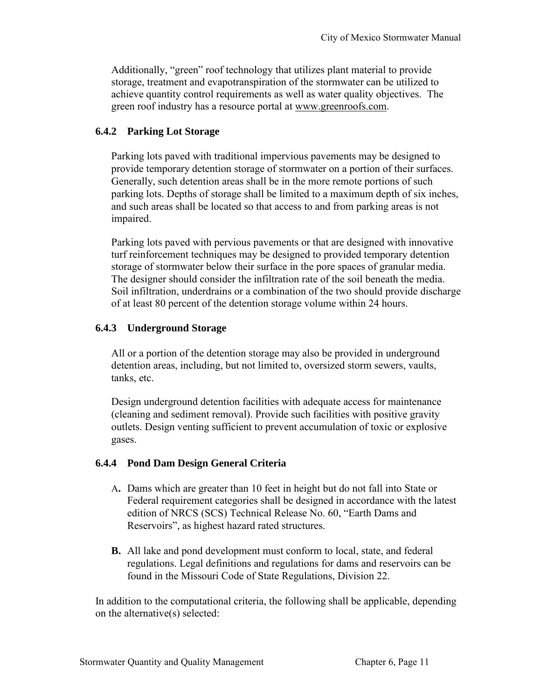Additionally, "green" roof technology that utilizes plant material to provide storage, treatment and evapotranspiration of the stormwater can be utilized to achieve quantity control requirements as well as water quality objectives. The green roof industry has a resource portal at www.greenroofs.com.

## **6.4.2 Parking Lot Storage**

Parking lots paved with traditional impervious pavements may be designed to provide temporary detention storage of stormwater on a portion of their surfaces. Generally, such detention areas shall be in the more remote portions of such parking lots. Depths of storage shall be limited to a maximum depth of six inches, and such areas shall be located so that access to and from parking areas is not impaired.

Parking lots paved with pervious pavements or that are designed with innovative turf reinforcement techniques may be designed to provided temporary detention storage of stormwater below their surface in the pore spaces of granular media. The designer should consider the infiltration rate of the soil beneath the media. Soil infiltration, underdrains or a combination of the two should provide discharge of at least 80 percent of the detention storage volume within 24 hours.

## **6.4.3 Underground Storage**

All or a portion of the detention storage may also be provided in underground detention areas, including, but not limited to, oversized storm sewers, vaults, tanks, etc.

Design underground detention facilities with adequate access for maintenance (cleaning and sediment removal). Provide such facilities with positive gravity outlets. Design venting sufficient to prevent accumulation of toxic or explosive gases.

## **6.4.4 Pond Dam Design General Criteria**

- A**.** Dams which are greater than 10 feet in height but do not fall into State or Federal requirement categories shall be designed in accordance with the latest edition of NRCS (SCS) Technical Release No. 60, "Earth Dams and Reservoirs", as highest hazard rated structures.
- **B.** All lake and pond development must conform to local, state, and federal regulations. Legal definitions and regulations for dams and reservoirs can be found in the Missouri Code of State Regulations, Division 22.

In addition to the computational criteria, the following shall be applicable, depending on the alternative(s) selected: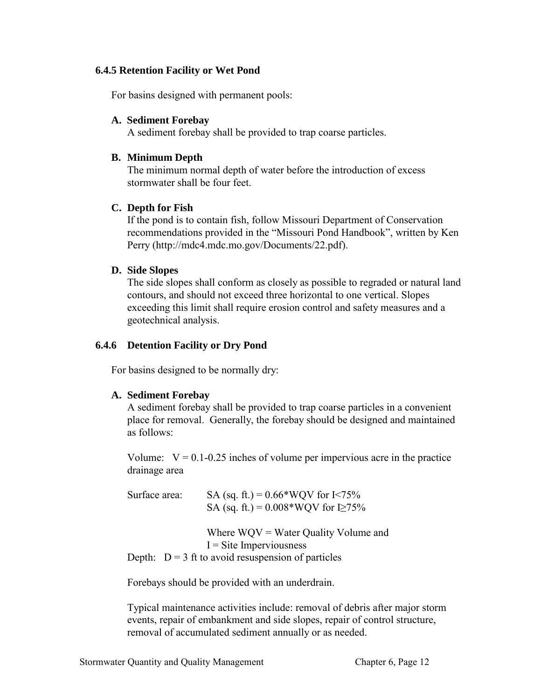### **6.4.5 Retention Facility or Wet Pond**

For basins designed with permanent pools:

### **A. Sediment Forebay**

A sediment forebay shall be provided to trap coarse particles.

## **B. Minimum Depth**

The minimum normal depth of water before the introduction of excess stormwater shall be four feet.

## **C. Depth for Fish**

If the pond is to contain fish, follow Missouri Department of Conservation recommendations provided in the "Missouri Pond Handbook", written by Ken Perry (http://mdc4.mdc.mo.gov/Documents/22.pdf).

## **D. Side Slopes**

The side slopes shall conform as closely as possible to regraded or natural land contours, and should not exceed three horizontal to one vertical. Slopes exceeding this limit shall require erosion control and safety measures and a geotechnical analysis.

## **6.4.6 Detention Facility or Dry Pond**

For basins designed to be normally dry:

## **A. Sediment Forebay**

A sediment forebay shall be provided to trap coarse particles in a convenient place for removal. Generally, the forebay should be designed and maintained as follows:

Volume:  $V = 0.1 - 0.25$  inches of volume per impervious acre in the practice drainage area

| Surface area: | SA (sq. ft.) = $0.66*$ WQV for I<75%<br>SA (sq. ft.) = $0.008*$ WQV for I $\geq$ 75%                                        |
|---------------|-----------------------------------------------------------------------------------------------------------------------------|
|               | Where $WQV = Water$ Quality Volume and<br>$I =$ Site Imperviousness<br>Depth: $D = 3$ ft to avoid resuspension of particles |

Forebays should be provided with an underdrain.

Typical maintenance activities include: removal of debris after major storm events, repair of embankment and side slopes, repair of control structure, removal of accumulated sediment annually or as needed.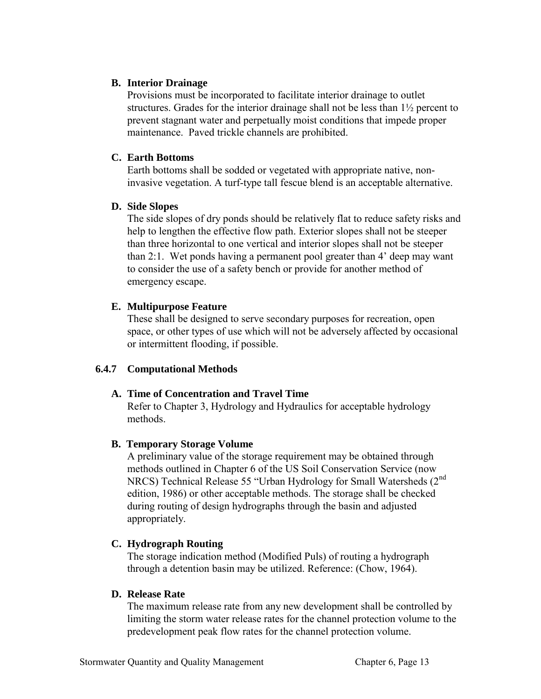### **B. Interior Drainage**

Provisions must be incorporated to facilitate interior drainage to outlet structures. Grades for the interior drainage shall not be less than 1½ percent to prevent stagnant water and perpetually moist conditions that impede proper maintenance. Paved trickle channels are prohibited.

## **C. Earth Bottoms**

Earth bottoms shall be sodded or vegetated with appropriate native, noninvasive vegetation. A turf-type tall fescue blend is an acceptable alternative.

## **D. Side Slopes**

The side slopes of dry ponds should be relatively flat to reduce safety risks and help to lengthen the effective flow path. Exterior slopes shall not be steeper than three horizontal to one vertical and interior slopes shall not be steeper than 2:1. Wet ponds having a permanent pool greater than 4' deep may want to consider the use of a safety bench or provide for another method of emergency escape.

## **E. Multipurpose Feature**

These shall be designed to serve secondary purposes for recreation, open space, or other types of use which will not be adversely affected by occasional or intermittent flooding, if possible.

# **6.4.7 Computational Methods**

## **A. Time of Concentration and Travel Time**

Refer to Chapter 3, Hydrology and Hydraulics for acceptable hydrology methods.

## **B. Temporary Storage Volume**

A preliminary value of the storage requirement may be obtained through methods outlined in Chapter 6 of the US Soil Conservation Service (now NRCS) Technical Release 55 "Urban Hydrology for Small Watersheds (2<sup>nd</sup>) edition, 1986) or other acceptable methods. The storage shall be checked during routing of design hydrographs through the basin and adjusted appropriately.

# **C. Hydrograph Routing**

The storage indication method (Modified Puls) of routing a hydrograph through a detention basin may be utilized. Reference: (Chow, 1964).

## **D. Release Rate**

The maximum release rate from any new development shall be controlled by limiting the storm water release rates for the channel protection volume to the predevelopment peak flow rates for the channel protection volume.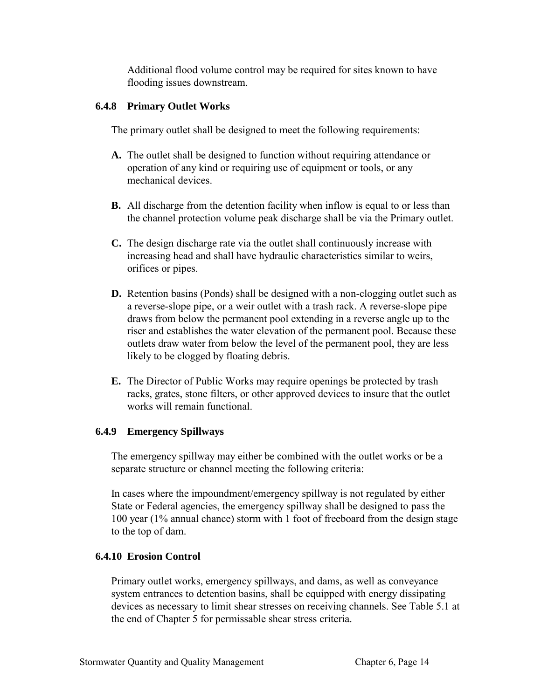Additional flood volume control may be required for sites known to have flooding issues downstream.

## **6.4.8 Primary Outlet Works**

The primary outlet shall be designed to meet the following requirements:

- **A.** The outlet shall be designed to function without requiring attendance or operation of any kind or requiring use of equipment or tools, or any mechanical devices.
- **B.** All discharge from the detention facility when inflow is equal to or less than the channel protection volume peak discharge shall be via the Primary outlet.
- **C.** The design discharge rate via the outlet shall continuously increase with increasing head and shall have hydraulic characteristics similar to weirs, orifices or pipes.
- **D.** Retention basins (Ponds) shall be designed with a non-clogging outlet such as a reverse-slope pipe, or a weir outlet with a trash rack. A reverse-slope pipe draws from below the permanent pool extending in a reverse angle up to the riser and establishes the water elevation of the permanent pool. Because these outlets draw water from below the level of the permanent pool, they are less likely to be clogged by floating debris.
- **E.** The Director of Public Works may require openings be protected by trash racks, grates, stone filters, or other approved devices to insure that the outlet works will remain functional.

# **6.4.9 Emergency Spillways**

The emergency spillway may either be combined with the outlet works or be a separate structure or channel meeting the following criteria:

In cases where the impoundment/emergency spillway is not regulated by either State or Federal agencies, the emergency spillway shall be designed to pass the 100 year (1% annual chance) storm with 1 foot of freeboard from the design stage to the top of dam.

# **6.4.10 Erosion Control**

Primary outlet works, emergency spillways, and dams, as well as conveyance system entrances to detention basins, shall be equipped with energy dissipating devices as necessary to limit shear stresses on receiving channels. See Table 5.1 at the end of Chapter 5 for permissable shear stress criteria.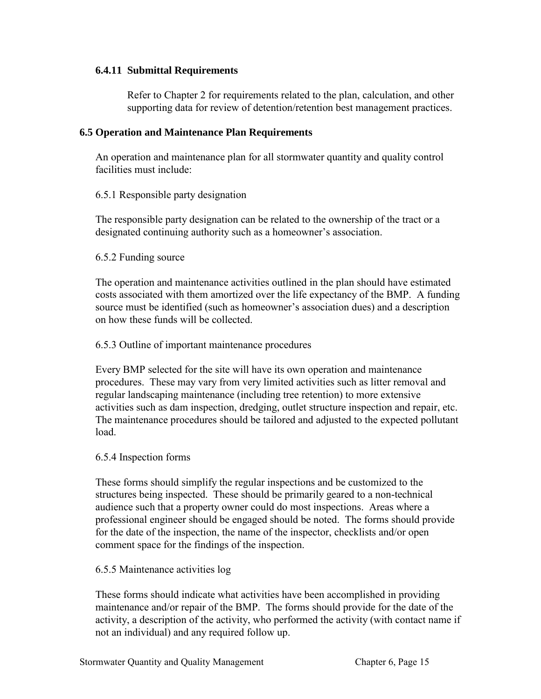### **6.4.11 Submittal Requirements**

Refer to Chapter 2 for requirements related to the plan, calculation, and other supporting data for review of detention/retention best management practices.

### **6.5 Operation and Maintenance Plan Requirements**

An operation and maintenance plan for all stormwater quantity and quality control facilities must include:

## 6.5.1 Responsible party designation

The responsible party designation can be related to the ownership of the tract or a designated continuing authority such as a homeowner's association.

### 6.5.2 Funding source

The operation and maintenance activities outlined in the plan should have estimated costs associated with them amortized over the life expectancy of the BMP. A funding source must be identified (such as homeowner's association dues) and a description on how these funds will be collected.

### 6.5.3 Outline of important maintenance procedures

Every BMP selected for the site will have its own operation and maintenance procedures. These may vary from very limited activities such as litter removal and regular landscaping maintenance (including tree retention) to more extensive activities such as dam inspection, dredging, outlet structure inspection and repair, etc. The maintenance procedures should be tailored and adjusted to the expected pollutant load.

### 6.5.4 Inspection forms

These forms should simplify the regular inspections and be customized to the structures being inspected. These should be primarily geared to a non-technical audience such that a property owner could do most inspections. Areas where a professional engineer should be engaged should be noted. The forms should provide for the date of the inspection, the name of the inspector, checklists and/or open comment space for the findings of the inspection.

### 6.5.5 Maintenance activities log

These forms should indicate what activities have been accomplished in providing maintenance and/or repair of the BMP. The forms should provide for the date of the activity, a description of the activity, who performed the activity (with contact name if not an individual) and any required follow up.